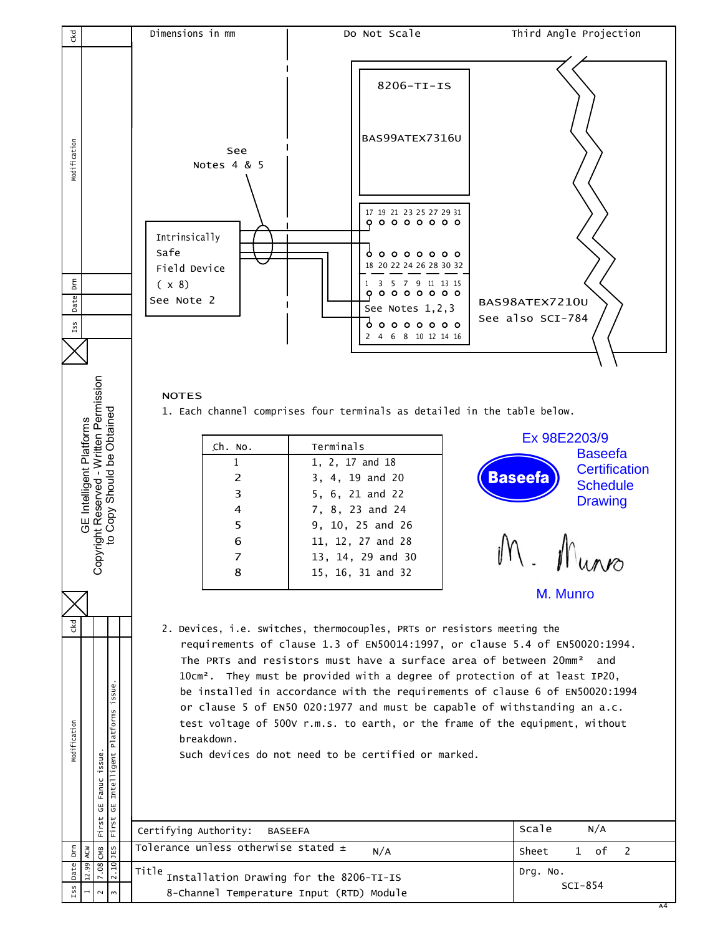